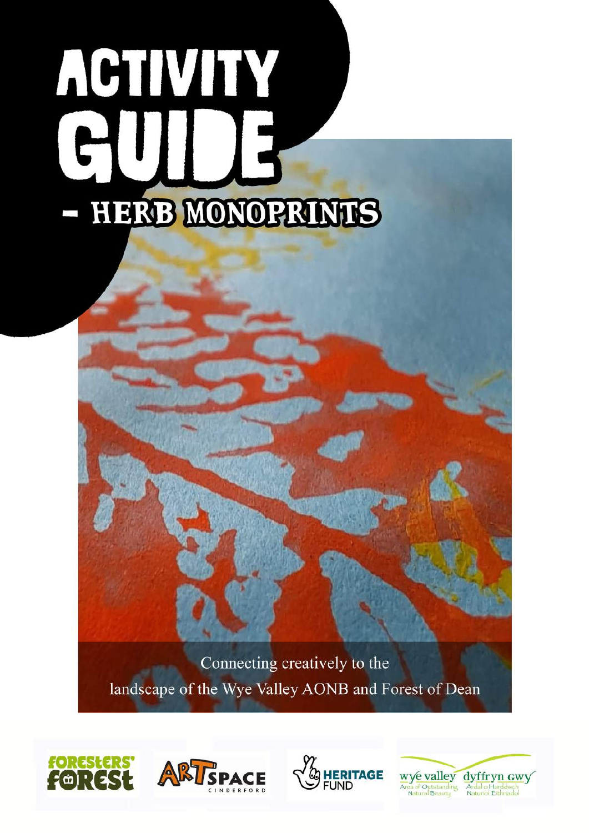# ACTIVITY HERB MONOPRINTS

Connecting creatively to the landscape of the Wye Valley AONB and Forest of Dean







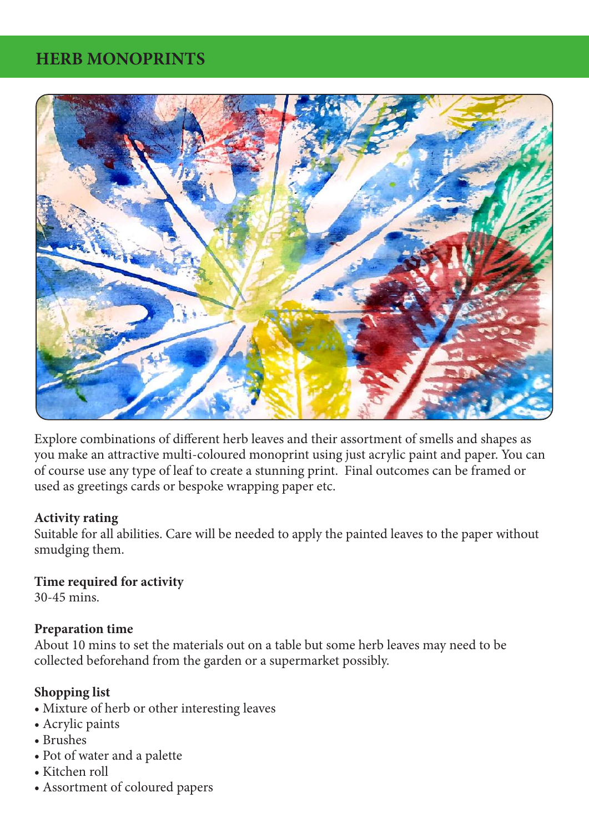## **HERB MONOPRINTS**



Explore combinations of different herb leaves and their assortment of smells and shapes as you make an attractive multi-coloured monoprint using just acrylic paint and paper. You can of course use any type of leaf to create a stunning print. Final outcomes can be framed or used as greetings cards or bespoke wrapping paper etc.

#### **Activity rating**

Suitable for all abilities. Care will be needed to apply the painted leaves to the paper without smudging them.

#### **Time required for activity**

30-45 mins.

#### **Preparation time**

About 10 mins to set the materials out on a table but some herb leaves may need to be collected beforehand from the garden or a supermarket possibly.

## **Shopping list**

- Mixture of herb or other interesting leaves
- Acrylic paints
- Brushes
- Pot of water and a palette
- Kitchen roll
- Assortment of coloured papers